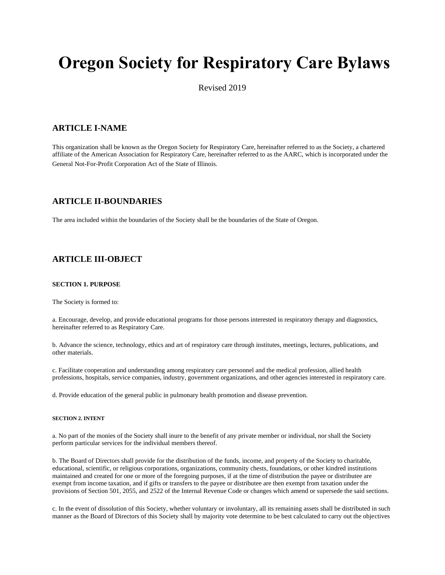# **Oregon Society for Respiratory Care Bylaws**

Revised 2019

# **ARTICLE I-NAME**

This organization shall be known as the Oregon Society for Respiratory Care, hereinafter referred to as the Society, a chartered affiliate of the American Association for Respiratory Care, hereinafter referred to as the AARC, which is incorporated under the General Not-For-Profit Corporation Act of the State of Illinois.

# **ARTICLE II-BOUNDARIES**

The area included within the boundaries of the Society shall be the boundaries of the State of Oregon.

# **ARTICLE III-OBJECT**

## **SECTION 1. PURPOSE**

The Society is formed to:

a. Encourage, develop, and provide educational programs for those persons interested in respiratory therapy and diagnostics, hereinafter referred to as Respiratory Care.

b. Advance the science, technology, ethics and art of respiratory care through institutes, meetings, lectures, publications, and other materials.

c. Facilitate cooperation and understanding among respiratory care personnel and the medical profession, allied health professions, hospitals, service companies, industry, government organizations, and other agencies interested in respiratory care.

d. Provide education of the general public in pulmonary health promotion and disease prevention.

## **SECTION 2. INTENT**

a. No part of the monies of the Society shall inure to the benefit of any private member or individual, nor shall the Society perform particular services for the individual members thereof.

b. The Board of Directors shall provide for the distribution of the funds, income, and property of the Society to charitable, educational, scientific, or religious corporations, organizations, community chests, foundations, or other kindred institutions maintained and created for one or more of the foregoing purposes, if at the time of distribution the payee or distributee are exempt from income taxation, and if gifts or transfers to the payee or distributee are then exempt from taxation under the provisions of Section 501, 2055, and 2522 of the Internal Revenue Code or changes which amend or supersede the said sections.

c. In the event of dissolution of this Society, whether voluntary or involuntary, all its remaining assets shall be distributed in such manner as the Board of Directors of this Society shall by majority vote determine to be best calculated to carry out the objectives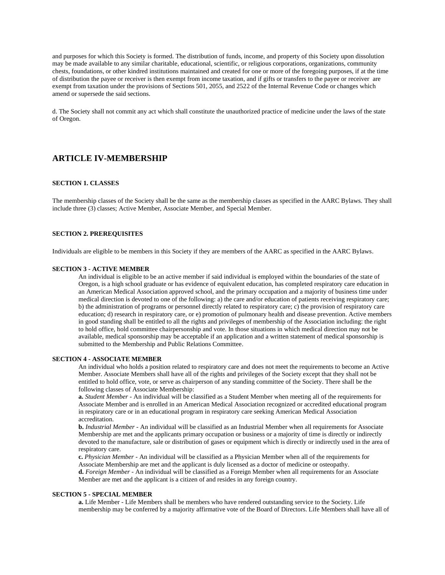and purposes for which this Society is formed. The distribution of funds, income, and property of this Society upon dissolution may be made available to any similar charitable, educational, scientific, or religious corporations, organizations, community chests, foundations, or other kindred institutions maintained and created for one or more of the foregoing purposes, if at the time of distribution the payee or receiver is then exempt from income taxation, and if gifts or transfers to the payee or receiver are exempt from taxation under the provisions of Sections 501, 2055, and 2522 of the Internal Revenue Code or changes which amend or supersede the said sections.

d. The Society shall not commit any act which shall constitute the unauthorized practice of medicine under the laws of the state of Oregon.

# **ARTICLE IV-MEMBERSHIP**

# **SECTION 1. CLASSES**

The membership classes of the Society shall be the same as the membership classes as specified in the AARC Bylaws. They shall include three (3) classes; Active Member, Associate Member, and Special Member.

## **SECTION 2. PREREQUISITES**

Individuals are eligible to be members in this Society if they are members of the AARC as specified in the AARC Bylaws.

#### **SECTION 3 - ACTIVE MEMBER**

An individual is eligible to be an active member if said individual is employed within the boundaries of the state of Oregon, is a high school graduate or has evidence of equivalent education, has completed respiratory care education in an American Medical Association approved school, and the primary occupation and a majority of business time under medical direction is devoted to one of the following: a) the care and/or education of patients receiving respiratory care; b) the administration of programs or personnel directly related to respiratory care; c) the provision of respiratory care education; d) research in respiratory care, or e) promotion of pulmonary health and disease prevention. Active members in good standing shall be entitled to all the rights and privileges of membership of the Association including: the right to hold office, hold committee chairpersonship and vote. In those situations in which medical direction may not be available, medical sponsorship may be acceptable if an application and a written statement of medical sponsorship is submitted to the Membership and Public Relations Committee.

# **SECTION 4 - ASSOCIATE MEMBER**

An individual who holds a position related to respiratory care and does not meet the requirements to become an Active Member. Associate Members shall have all of the rights and privileges of the Society except that they shall not be entitled to hold office, vote, or serve as chairperson of any standing committee of the Society. There shall be the following classes of Associate Membership:

**a.** *Student Member* - An individual will be classified as a Student Member when meeting all of the requirements for Associate Member and is enrolled in an American Medical Association recognized or accredited educational program in respiratory care or in an educational program in respiratory care seeking American Medical Association accreditation.

**b.** *Industrial Member* - An individual will be classified as an Industrial Member when all requirements for Associate Membership are met and the applicants primary occupation or business or a majority of time is directly or indirectly devoted to the manufacture, sale or distribution of gases or equipment which is directly or indirectly used in the area of respiratory care.

**c.** *Physician Member* - An individual will be classified as a Physician Member when all of the requirements for Associate Membership are met and the applicant is duly licensed as a doctor of medicine or osteopathy. **d.** *Foreign Member* - An individual will be classified as a Foreign Member when all requirements for an Associate

# Member are met and the applicant is a citizen of and resides in any foreign country.

## **SECTION 5 - SPECIAL MEMBER**

**a.** Life Member - Life Members shall be members who have rendered outstanding service to the Society. Life membership may be conferred by a majority affirmative vote of the Board of Directors. Life Members shall have all of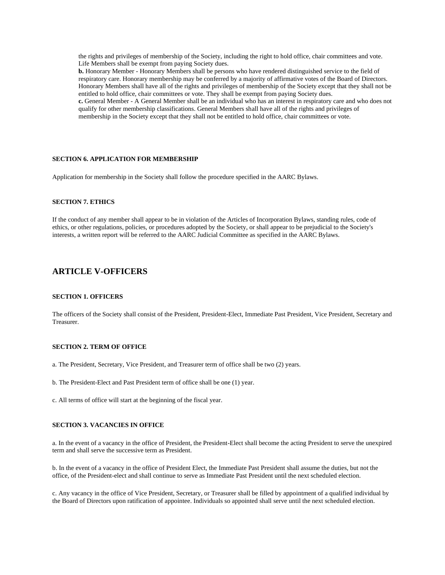the rights and privileges of membership of the Society, including the right to hold office, chair committees and vote. Life Members shall be exempt from paying Society dues.

**b.** Honorary Member - Honorary Members shall be persons who have rendered distinguished service to the field of respiratory care. Honorary membership may be conferred by a majority of affirmative votes of the Board of Directors. Honorary Members shall have all of the rights and privileges of membership of the Society except that they shall not be entitled to hold office, chair committees or vote. They shall be exempt from paying Society dues.

**c.** General Member - A General Member shall be an individual who has an interest in respiratory care and who does not qualify for other membership classifications. General Members shall have all of the rights and privileges of membership in the Society except that they shall not be entitled to hold office, chair committees or vote.

#### **SECTION 6. APPLICATION FOR MEMBERSHIP**

Application for membership in the Society shall follow the procedure specified in the AARC Bylaws.

# **SECTION 7. ETHICS**

If the conduct of any member shall appear to be in violation of the Articles of Incorporation Bylaws, standing rules, code of ethics, or other regulations, policies, or procedures adopted by the Society, or shall appear to be prejudicial to the Society's interests, a written report will be referred to the AARC Judicial Committee as specified in the AARC Bylaws.

# **ARTICLE V-OFFICERS**

#### **SECTION 1. OFFICERS**

The officers of the Society shall consist of the President, President-Elect, Immediate Past President, Vice President, Secretary and Treasurer.

## **SECTION 2. TERM OF OFFICE**

- a. The President, Secretary, Vice President, and Treasurer term of office shall be two (2) years.
- b. The President-Elect and Past President term of office shall be one (1) year.
- c. All terms of office will start at the beginning of the fiscal year.

#### **SECTION 3. VACANCIES IN OFFICE**

a. In the event of a vacancy in the office of President, the President-Elect shall become the acting President to serve the unexpired term and shall serve the successive term as President.

b. In the event of a vacancy in the office of President Elect, the Immediate Past President shall assume the duties, but not the office, of the President-elect and shall continue to serve as Immediate Past President until the next scheduled election.

c. Any vacancy in the office of Vice President, Secretary, or Treasurer shall be filled by appointment of a qualified individual by the Board of Directors upon ratification of appointee. Individuals so appointed shall serve until the next scheduled election.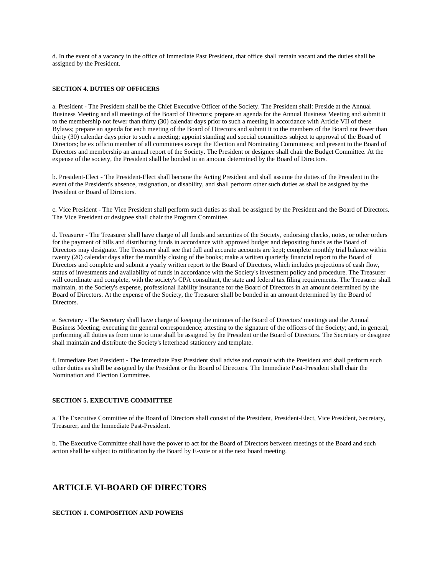d. In the event of a vacancy in the office of Immediate Past President, that office shall remain vacant and the duties shall be assigned by the President.

#### **SECTION 4. DUTIES OF OFFICERS**

a. President - The President shall be the Chief Executive Officer of the Society. The President shall: Preside at the Annual Business Meeting and all meetings of the Board of Directors; prepare an agenda for the Annual Business Meeting and submit it to the membership not fewer than thirty (30) calendar days prior to such a meeting in accordance with Article VII of these Bylaws; prepare an agenda for each meeting of the Board of Directors and submit it to the members of the Board not fewer than thirty (30) calendar days prior to such a meeting; appoint standing and special committees subject to approval of the Board of Directors; be ex officio member of all committees except the Election and Nominating Committees; and present to the Board of Directors and membership an annual report of the Society. The President or designee shall chair the Budget Committee. At the expense of the society, the President shall be bonded in an amount determined by the Board of Directors.

b. President-Elect - The President-Elect shall become the Acting President and shall assume the duties of the President in the event of the President's absence, resignation, or disability, and shall perform other such duties as shall be assigned by the President or Board of Directors.

c. Vice President - The Vice President shall perform such duties as shall be assigned by the President and the Board of Directors. The Vice President or designee shall chair the Program Committee.

d. Treasurer - The Treasurer shall have charge of all funds and securities of the Society, endorsing checks, notes, or other orders for the payment of bills and distributing funds in accordance with approved budget and depositing funds as the Board of Directors may designate. The Treasurer shall see that full and accurate accounts are kept; complete monthly trial balance within twenty (20) calendar days after the monthly closing of the books; make a written quarterly financial report to the Board of Directors and complete and submit a yearly written report to the Board of Directors, which includes projections of cash flow, status of investments and availability of funds in accordance with the Society's investment policy and procedure. The Treasurer will coordinate and complete, with the society's CPA consultant, the state and federal tax filing requirements. The Treasurer shall maintain, at the Society's expense, professional liability insurance for the Board of Directors in an amount determined by the Board of Directors. At the expense of the Society, the Treasurer shall be bonded in an amount determined by the Board of Directors.

e. Secretary - The Secretary shall have charge of keeping the minutes of the Board of Directors' meetings and the Annual Business Meeting; executing the general correspondence; attesting to the signature of the officers of the Society; and, in general, performing all duties as from time to time shall be assigned by the President or the Board of Directors. The Secretary or designee shall maintain and distribute the Society's letterhead stationery and template.

f. Immediate Past President - The Immediate Past President shall advise and consult with the President and shall perform such other duties as shall be assigned by the President or the Board of Directors. The Immediate Past-President shall chair the Nomination and Election Committee.

#### **SECTION 5. EXECUTIVE COMMITTEE**

a. The Executive Committee of the Board of Directors shall consist of the President, President-Elect, Vice President, Secretary, Treasurer, and the Immediate Past-President.

b. The Executive Committee shall have the power to act for the Board of Directors between meetings of the Board and such action shall be subject to ratification by the Board by E-vote or at the next board meeting.

# **ARTICLE VI-BOARD OF DIRECTORS**

**SECTION 1. COMPOSITION AND POWERS**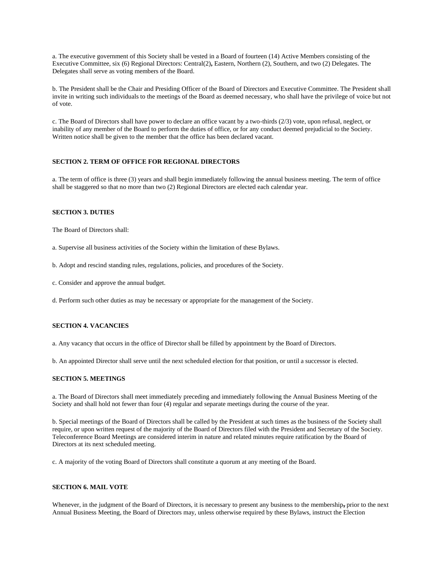a. The executive government of this Society shall be vested in a Board of fourteen (14) Active Members consisting of the Executive Committee, six (6) Regional Directors: Central(2)**,** Eastern, Northern (2), Southern, and two (2) Delegates. The Delegates shall serve as voting members of the Board.

b. The President shall be the Chair and Presiding Officer of the Board of Directors and Executive Committee. The President shall invite in writing such individuals to the meetings of the Board as deemed necessary, who shall have the privilege of voice but not of vote.

c. The Board of Directors shall have power to declare an office vacant by a two-thirds (2/3) vote, upon refusal, neglect, or inability of any member of the Board to perform the duties of office, or for any conduct deemed prejudicial to the Society. Written notice shall be given to the member that the office has been declared vacant.

# **SECTION 2. TERM OF OFFICE FOR REGIONAL DIRECTORS**

a. The term of office is three (3) years and shall begin immediately following the annual business meeting. The term of office shall be staggered so that no more than two (2) Regional Directors are elected each calendar year.

## **SECTION 3. DUTIES**

The Board of Directors shall:

- a. Supervise all business activities of the Society within the limitation of these Bylaws.
- b. Adopt and rescind standing rules, regulations, policies, and procedures of the Society.
- c. Consider and approve the annual budget.

d. Perform such other duties as may be necessary or appropriate for the management of the Society.

#### **SECTION 4. VACANCIES**

a. Any vacancy that occurs in the office of Director shall be filled by appointment by the Board of Directors.

b. An appointed Director shall serve until the next scheduled election for that position, or until a successor is elected.

## **SECTION 5. MEETINGS**

a. The Board of Directors shall meet immediately preceding and immediately following the Annual Business Meeting of the Society and shall hold not fewer than four (4) regular and separate meetings during the course of the year.

b. Special meetings of the Board of Directors shall be called by the President at such times as the business of the Society shall require, or upon written request of the majority of the Board of Directors filed with the President and Secretary of the Society. Teleconference Board Meetings are considered interim in nature and related minutes require ratification by the Board of Directors at its next scheduled meeting.

c. A majority of the voting Board of Directors shall constitute a quorum at any meeting of the Board.

# **SECTION 6. MAIL VOTE**

Whenever, in the judgment of the Board of Directors, it is necessary to present any business to the membership**,** prior to the next Annual Business Meeting, the Board of Directors may, unless otherwise required by these Bylaws, instruct the Election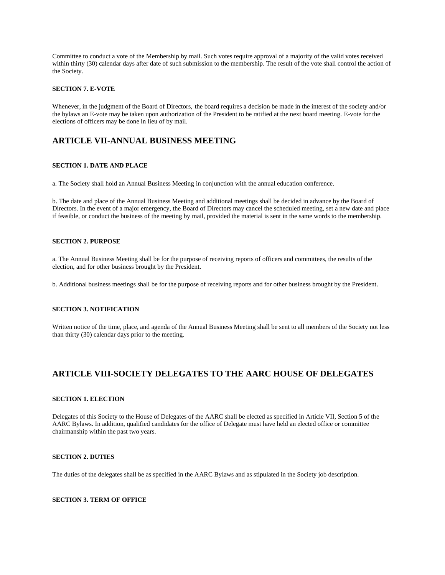Committee to conduct a vote of the Membership by mail. Such votes require approval of a majority of the valid votes received within thirty (30) calendar days after date of such submission to the membership. The result of the vote shall control the action of the Society.

# **SECTION 7. E-VOTE**

Whenever, in the judgment of the Board of Directors, the board requires a decision be made in the interest of the society and/or the bylaws an E-vote may be taken upon authorization of the President to be ratified at the next board meeting. E-vote for the elections of officers may be done in lieu of by mail.

# **ARTICLE VII-ANNUAL BUSINESS MEETING**

#### **SECTION 1. DATE AND PLACE**

a. The Society shall hold an Annual Business Meeting in conjunction with the annual education conference.

b. The date and place of the Annual Business Meeting and additional meetings shall be decided in advance by the Board of Directors. In the event of a major emergency, the Board of Directors may cancel the scheduled meeting, set a new date and place if feasible, or conduct the business of the meeting by mail, provided the material is sent in the same words to the membership.

## **SECTION 2. PURPOSE**

a. The Annual Business Meeting shall be for the purpose of receiving reports of officers and committees, the results of the election, and for other business brought by the President.

b. Additional business meetings shall be for the purpose of receiving reports and for other business brought by the President.

## **SECTION 3. NOTIFICATION**

Written notice of the time, place, and agenda of the Annual Business Meeting shall be sent to all members of the Society not less than thirty (30) calendar days prior to the meeting.

# **ARTICLE VIII-SOCIETY DELEGATES TO THE AARC HOUSE OF DELEGATES**

## **SECTION 1. ELECTION**

Delegates of this Society to the House of Delegates of the AARC shall be elected as specified in Article VII, Section 5 of the AARC Bylaws. In addition, qualified candidates for the office of Delegate must have held an elected office or committee chairmanship within the past two years.

# **SECTION 2. DUTIES**

The duties of the delegates shall be as specified in the AARC Bylaws and as stipulated in the Society job description.

## **SECTION 3. TERM OF OFFICE**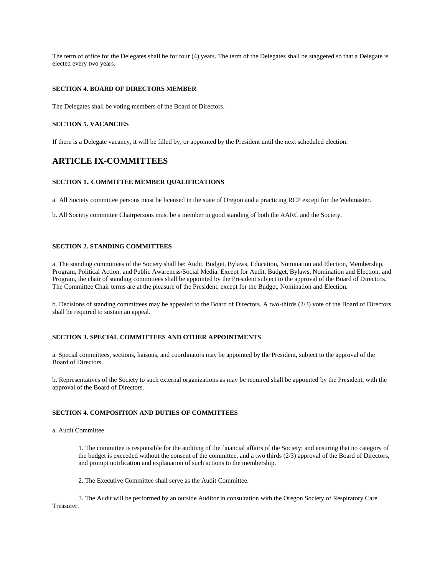The term of office for the Delegates shall be for four (4) years. The term of the Delegates shall be staggered so that a Delegate is elected every two years.

## **SECTION 4. BOARD OF DIRECTORS MEMBER**

The Delegates shall be voting members of the Board of Directors.

## **SECTION 5. VACANCIES**

If there is a Delegate vacancy, it will be filled by, or appointed by the President until the next scheduled election.

# **ARTICLE IX-COMMITTEES**

## **SECTION 1. COMMITTEE MEMBER QUALIFICATIONS**

a. All Society committee persons must be licensed in the state of Oregon and a practicing RCP except for the Webmaster.

b. All Society committee Chairpersons must be a member in good standing of both the AARC and the Society.

#### **SECTION 2. STANDING COMMITTEES**

a. The standing committees of the Society shall be: Audit, Budget, Bylaws, Education, Nomination and Election, Membership, Program, Political Action, and Public Awareness/Social Media. Except for Audit, Budget, Bylaws, Nomination and Election, and Program, the chair of standing committees shall be appointed by the President subject to the approval of the Board of Directors. The Committee Chair terms are at the pleasure of the President, except for the Budget, Nomination and Election.

b. Decisions of standing committees may be appealed to the Board of Directors. A two-thirds (2/3) vote of the Board of Directors shall be required to sustain an appeal.

## **SECTION 3. SPECIAL COMMITTEES AND OTHER APPOINTMENTS**

a. Special committees, sections, liaisons, and coordinators may be appointed by the President, subject to the approval of the Board of Directors.

b. Representatives of the Society to such external organizations as may be required shall be appointed by the President, with the approval of the Board of Directors.

## **SECTION 4. COMPOSITION AND DUTIES OF COMMITTEES**

a. Audit Committee

1. The committee is responsible for the auditing of the financial affairs of the Society; and ensuring that no category of the budget is exceeded without the consent of the committee, and a two thirds (2/3) approval of the Board of Directors, and prompt notification and explanation of such actions to the membership.

2. The Executive Committee shall serve as the Audit Committee.

3. The Audit will be performed by an outside Auditor in consultation with the Oregon Society of Respiratory Care Treasurer.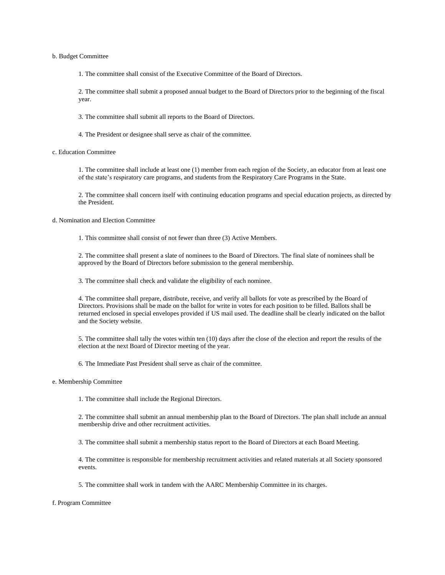#### b. Budget Committee

1. The committee shall consist of the Executive Committee of the Board of Directors.

2. The committee shall submit a proposed annual budget to the Board of Directors prior to the beginning of the fiscal year.

3. The committee shall submit all reports to the Board of Directors.

4. The President or designee shall serve as chair of the committee.

c. Education Committee

1. The committee shall include at least one (1) member from each region of the Society, an educator from at least one of the state's respiratory care programs, and students from the Respiratory Care Programs in the State.

2. The committee shall concern itself with continuing education programs and special education projects, as directed by the President.

d. Nomination and Election Committee

1. This committee shall consist of not fewer than three (3) Active Members.

2. The committee shall present a slate of nominees to the Board of Directors. The final slate of nominees shall be approved by the Board of Directors before submission to the general membership.

3. The committee shall check and validate the eligibility of each nominee.

4. The committee shall prepare, distribute, receive, and verify all ballots for vote as prescribed by the Board of Directors. Provisions shall be made on the ballot for write in votes for each position to be filled. Ballots shall be returned enclosed in special envelopes provided if US mail used. The deadline shall be clearly indicated on the ballot and the Society website.

5. The committee shall tally the votes within ten (10) days after the close of the election and report the results of the election at the next Board of Director meeting of the year.

6. The Immediate Past President shall serve as chair of the committee.

e. Membership Committee

1. The committee shall include the Regional Directors.

2. The committee shall submit an annual membership plan to the Board of Directors. The plan shall include an annual membership drive and other recruitment activities.

3. The committee shall submit a membership status report to the Board of Directors at each Board Meeting.

4. The committee is responsible for membership recruitment activities and related materials at all Society sponsored events.

5. The committee shall work in tandem with the AARC Membership Committee in its charges.

f. Program Committee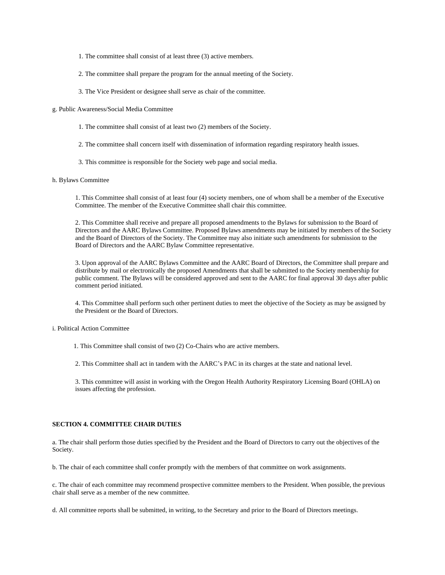- 1. The committee shall consist of at least three (3) active members.
- 2. The committee shall prepare the program for the annual meeting of the Society.
- 3. The Vice President or designee shall serve as chair of the committee.

#### g. Public Awareness/Social Media Committee

- 1. The committee shall consist of at least two (2) members of the Society.
- 2. The committee shall concern itself with dissemination of information regarding respiratory health issues.
- 3. This committee is responsible for the Society web page and social media.

#### h. Bylaws Committee

1. This Committee shall consist of at least four (4) society members, one of whom shall be a member of the Executive Committee. The member of the Executive Committee shall chair this committee.

2. This Committee shall receive and prepare all proposed amendments to the Bylaws for submission to the Board of Directors and the AARC Bylaws Committee. Proposed Bylaws amendments may be initiated by members of the Society and the Board of Directors of the Society. The Committee may also initiate such amendments for submission to the Board of Directors and the AARC Bylaw Committee representative.

3. Upon approval of the AARC Bylaws Committee and the AARC Board of Directors, the Committee shall prepare and distribute by mail or electronically the proposed Amendments that shall be submitted to the Society membership for public comment. The Bylaws will be considered approved and sent to the AARC for final approval 30 days after public comment period initiated.

4. This Committee shall perform such other pertinent duties to meet the objective of the Society as may be assigned by the President or the Board of Directors.

## i. Political Action Committee

1. This Committee shall consist of two (2) Co-Chairs who are active members.

2. This Committee shall act in tandem with the AARC's PAC in its charges at the state and national level.

3. This committee will assist in working with the Oregon Health Authority Respiratory Licensing Board (OHLA) on issues affecting the profession.

## **SECTION 4. COMMITTEE CHAIR DUTIES**

a. The chair shall perform those duties specified by the President and the Board of Directors to carry out the objectives of the Society.

b. The chair of each committee shall confer promptly with the members of that committee on work assignments.

c. The chair of each committee may recommend prospective committee members to the President. When possible, the previous chair shall serve as a member of the new committee.

d. All committee reports shall be submitted, in writing, to the Secretary and prior to the Board of Directors meetings.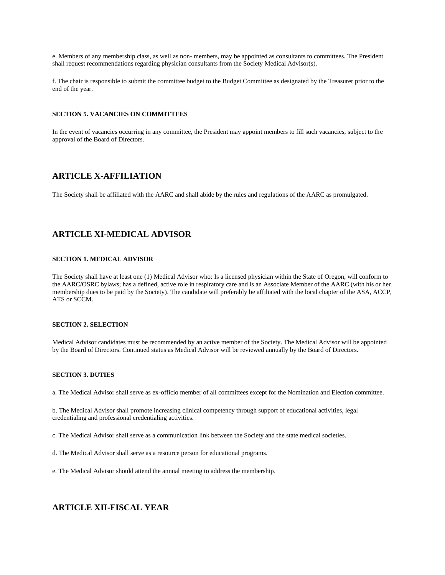e. Members of any membership class, as well as non- members, may be appointed as consultants to committees. The President shall request recommendations regarding physician consultants from the Society Medical Advisor(s).

f. The chair is responsible to submit the committee budget to the Budget Committee as designated by the Treasurer prior to the end of the year.

#### **SECTION 5. VACANCIES ON COMMITTEES**

In the event of vacancies occurring in any committee, the President may appoint members to fill such vacancies, subject to the approval of the Board of Directors.

# **ARTICLE X-AFFILIATION**

The Society shall be affiliated with the AARC and shall abide by the rules and regulations of the AARC as promulgated.

# **ARTICLE XI-MEDICAL ADVISOR**

## **SECTION 1. MEDICAL ADVISOR**

The Society shall have at least one (1) Medical Advisor who: Is a licensed physician within the State of Oregon, will conform to the AARC/OSRC bylaws; has a defined, active role in respiratory care and is an Associate Member of the AARC (with his or her membership dues to be paid by the Society). The candidate will preferably be affiliated with the local chapter of the ASA, ACCP, ATS or SCCM.

# **SECTION 2. SELECTION**

Medical Advisor candidates must be recommended by an active member of the Society. The Medical Advisor will be appointed by the Board of Directors. Continued status as Medical Advisor will be reviewed annually by the Board of Directors.

## **SECTION 3. DUTIES**

a. The Medical Advisor shall serve as ex-officio member of all committees except for the Nomination and Election committee.

b. The Medical Advisor shall promote increasing clinical competency through support of educational activities, legal credentialing and professional credentialing activities.

c. The Medical Advisor shall serve as a communication link between the Society and the state medical societies.

d. The Medical Advisor shall serve as a resource person for educational programs.

e. The Medical Advisor should attend the annual meeting to address the membership.

# **ARTICLE XII-FISCAL YEAR**